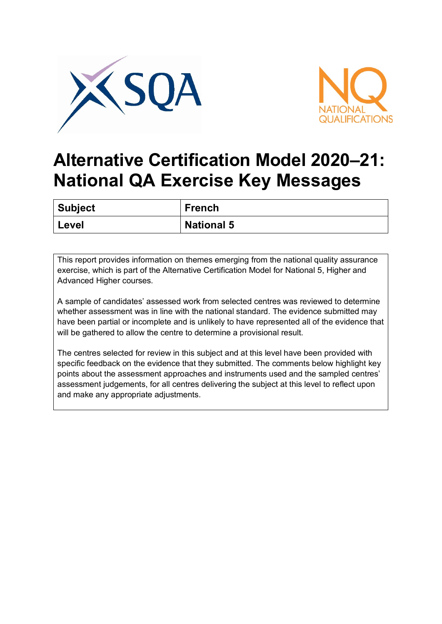



## **Alternative Certification Model 2020–21: National QA Exercise Key Messages**

| Subject | <b>French</b>     |
|---------|-------------------|
| Level   | <b>National 5</b> |

This report provides information on themes emerging from the national quality assurance exercise, which is part of the Alternative Certification Model for National 5, Higher and Advanced Higher courses.

A sample of candidates' assessed work from selected centres was reviewed to determine whether assessment was in line with the national standard. The evidence submitted may have been partial or incomplete and is unlikely to have represented all of the evidence that will be gathered to allow the centre to determine a provisional result.

The centres selected for review in this subject and at this level have been provided with specific feedback on the evidence that they submitted. The comments below highlight key points about the assessment approaches and instruments used and the sampled centres' assessment judgements, for all centres delivering the subject at this level to reflect upon and make any appropriate adjustments.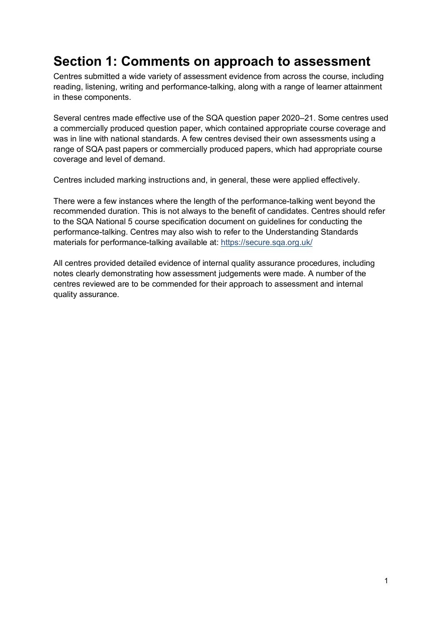## **Section 1: Comments on approach to assessment**

Centres submitted a wide variety of assessment evidence from across the course, including reading, listening, writing and performance-talking, along with a range of learner attainment in these components.

Several centres made effective use of the SQA question paper 2020–21. Some centres used a commercially produced question paper, which contained appropriate course coverage and was in line with national standards. A few centres devised their own assessments using a range of SQA past papers or commercially produced papers, which had appropriate course coverage and level of demand.

Centres included marking instructions and, in general, these were applied effectively.

There were a few instances where the length of the performance-talking went beyond the recommended duration. This is not always to the benefit of candidates. Centres should refer to the SQA National 5 course specification document on guidelines for conducting the performance-talking. Centres may also wish to refer to the Understanding Standards materials for performance-talking available at: <https://secure.sqa.org.uk/>

All centres provided detailed evidence of internal quality assurance procedures, including notes clearly demonstrating how assessment judgements were made. A number of the centres reviewed are to be commended for their approach to assessment and internal quality assurance.